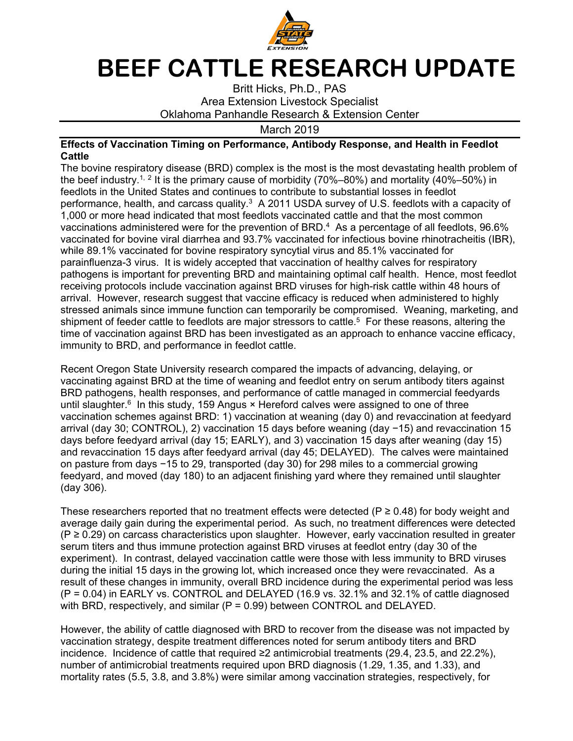

## **BEEF CATTLE RESEARCH UPDATE**

Britt Hicks, Ph.D., PAS Area Extension Livestock Specialist Oklahoma Panhandle Research & Extension Center

March 2019

## **Effects of Vaccination Timing on Performance, Antibody Response, and Health in Feedlot Cattle**

The bovine respiratory disease (BRD) complex is the most is the most devastating health problem of the beef industry.<sup>1, 2</sup> It is the primary cause of morbidity (70%–80%) and mortality (40%–50%) in feedlots in the United States and continues to contribute to substantial losses in feedlot performance, health, and carcass quality.<sup>3</sup> A 2011 USDA survey of U.S. feedlots with a capacity of 1,000 or more head indicated that most feedlots vaccinated cattle and that the most common vaccinations administered were for the prevention of BRD.<sup>4</sup> As a percentage of all feedlots, 96.6% vaccinated for bovine viral diarrhea and 93.7% vaccinated for infectious bovine rhinotracheitis (IBR), while 89.1% vaccinated for bovine respiratory syncytial virus and 85.1% vaccinated for parainfluenza-3 virus. It is widely accepted that vaccination of healthy calves for respiratory pathogens is important for preventing BRD and maintaining optimal calf health. Hence, most feedlot receiving protocols include vaccination against BRD viruses for high-risk cattle within 48 hours of arrival. However, research suggest that vaccine efficacy is reduced when administered to highly stressed animals since immune function can temporarily be compromised. Weaning, marketing, and shipment of feeder cattle to feedlots are major stressors to cattle.<sup>5</sup> For these reasons, altering the time of vaccination against BRD has been investigated as an approach to enhance vaccine efficacy, immunity to BRD, and performance in feedlot cattle.

Recent Oregon State University research compared the impacts of advancing, delaying, or vaccinating against BRD at the time of weaning and feedlot entry on serum antibody titers against BRD pathogens, health responses, and performance of cattle managed in commercial feedyards until slaughter. $6$  In this study, 159 Angus  $\times$  Hereford calves were assigned to one of three vaccination schemes against BRD: 1) vaccination at weaning (day 0) and revaccination at feedyard arrival (day 30; CONTROL), 2) vaccination 15 days before weaning (day −15) and revaccination 15 days before feedyard arrival (day 15; EARLY), and 3) vaccination 15 days after weaning (day 15) and revaccination 15 days after feedyard arrival (day 45; DELAYED). The calves were maintained on pasture from days −15 to 29, transported (day 30) for 298 miles to a commercial growing feedyard, and moved (day 180) to an adjacent finishing yard where they remained until slaughter (day 306).

These researchers reported that no treatment effects were detected ( $P \ge 0.48$ ) for body weight and average daily gain during the experimental period. As such, no treatment differences were detected (P ≥ 0.29) on carcass characteristics upon slaughter. However, early vaccination resulted in greater serum titers and thus immune protection against BRD viruses at feedlot entry (day 30 of the experiment). In contrast, delayed vaccination cattle were those with less immunity to BRD viruses during the initial 15 days in the growing lot, which increased once they were revaccinated. As a result of these changes in immunity, overall BRD incidence during the experimental period was less (P = 0.04) in EARLY vs. CONTROL and DELAYED (16.9 vs. 32.1% and 32.1% of cattle diagnosed with BRD, respectively, and similar ( $P = 0.99$ ) between CONTROL and DELAYED.

However, the ability of cattle diagnosed with BRD to recover from the disease was not impacted by vaccination strategy, despite treatment differences noted for serum antibody titers and BRD incidence. Incidence of cattle that required ≥2 antimicrobial treatments (29.4, 23.5, and 22.2%), number of antimicrobial treatments required upon BRD diagnosis (1.29, 1.35, and 1.33), and mortality rates (5.5, 3.8, and 3.8%) were similar among vaccination strategies, respectively, for